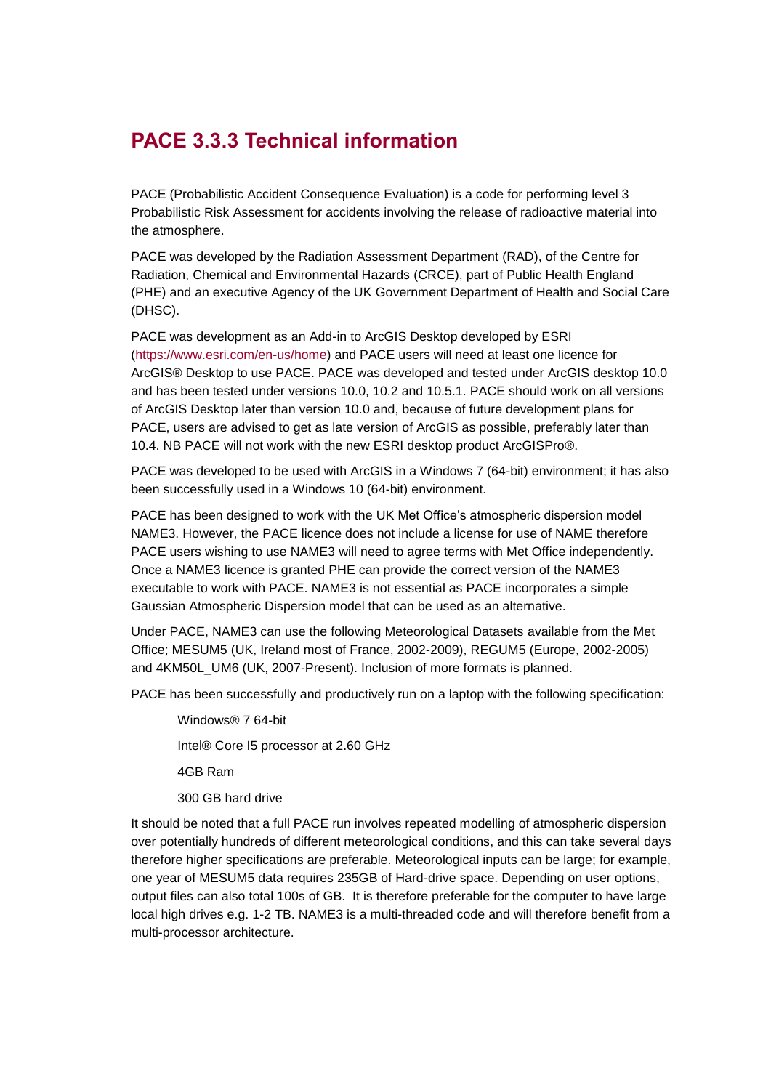## **PACE 3.3.3 Technical information**

PACE (Probabilistic Accident Consequence Evaluation) is a code for performing level 3 Probabilistic Risk Assessment for accidents involving the release of radioactive material into the atmosphere.

PACE was developed by the Radiation Assessment Department (RAD), of the Centre for Radiation, Chemical and Environmental Hazards (CRCE), part of Public Health England (PHE) and an executive Agency of the UK Government Department of Health and Social Care (DHSC).

PACE was development as an Add-in to ArcGIS Desktop developed by ESRI [\(https://www.esri.com/en-us/home\)](https://www.esri.com/en-us/home) and PACE users will need at least one licence for ArcGIS® Desktop to use PACE. PACE was developed and tested under ArcGIS desktop 10.0 and has been tested under versions 10.0, 10.2 and 10.5.1. PACE should work on all versions of ArcGIS Desktop later than version 10.0 and, because of future development plans for PACE, users are advised to get as late version of ArcGIS as possible, preferably later than 10.4. NB PACE will not work with the new ESRI desktop product ArcGISPro®.

PACE was developed to be used with ArcGIS in a Windows 7 (64-bit) environment; it has also been successfully used in a Windows 10 (64-bit) environment.

PACE has been designed to work with the UK Met Office's atmospheric dispersion model NAME3. However, the PACE licence does not include a license for use of NAME therefore PACE users wishing to use NAME3 will need to agree terms with Met Office independently. Once a NAME3 licence is granted PHE can provide the correct version of the NAME3 executable to work with PACE. NAME3 is not essential as PACE incorporates a simple Gaussian Atmospheric Dispersion model that can be used as an alternative.

Under PACE, NAME3 can use the following Meteorological Datasets available from the Met Office; MESUM5 (UK, Ireland most of France, 2002-2009), REGUM5 (Europe, 2002-2005) and 4KM50L\_UM6 (UK, 2007-Present). Inclusion of more formats is planned.

PACE has been successfully and productively run on a laptop with the following specification:

Windows® 7 64-bit Intel® Core I5 processor at 2.60 GHz 4GB Ram 300 GB hard drive

It should be noted that a full PACE run involves repeated modelling of atmospheric dispersion over potentially hundreds of different meteorological conditions, and this can take several days therefore higher specifications are preferable. Meteorological inputs can be large; for example, one year of MESUM5 data requires 235GB of Hard-drive space. Depending on user options, output files can also total 100s of GB. It is therefore preferable for the computer to have large local high drives e.g. 1-2 TB. NAME3 is a multi-threaded code and will therefore benefit from a multi-processor architecture.